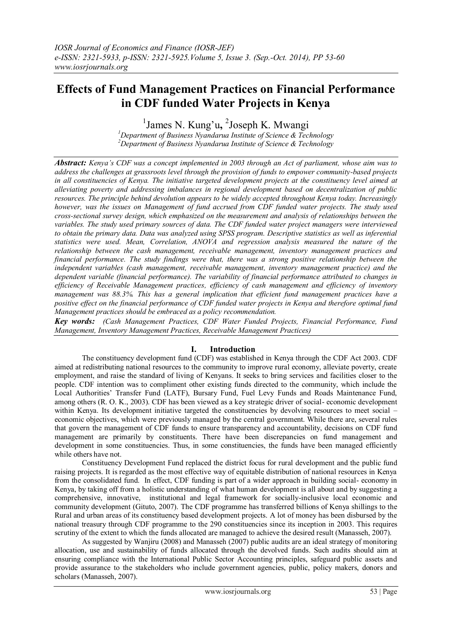# **Effects of Fund Management Practices on Financial Performance in CDF funded Water Projects in Kenya**

1 James N. Kung'u**,** 2 Joseph K. Mwangi

*<sup>1</sup>Department of Business Nyandarua Institute of Science & Technology <sup>2</sup>Department of Business Nyandarua Institute of Science & Technology*

*Abstract: Kenya's CDF was a concept implemented in 2003 through an Act of parliament, whose aim was to address the challenges at grassroots level through the provision of funds to empower community-based projects*  in all constituencies of Kenya. The initiative targeted development projects at the constituency level aimed at *alleviating poverty and addressing imbalances in regional development based on decentralization of public resources. The principle behind devolution appears to be widely accepted throughout Kenya today. Increasingly however, was the issues on Management of fund accrued from CDF funded water projects. The study used cross-sectional survey design, which emphasized on the measurement and analysis of relationships between the variables. The study used primary sources of data. The CDF funded water project managers were interviewed to obtain the primary data. Data was analyzed using SPSS program. Descriptive statistics as well as inferential statistics were used. Mean, Correlation, ANOVA and regression analysis measured the nature of the relationship between the cash management, receivable management, inventory management practices and financial performance. The study findings were that, there was a strong positive relationship between the independent variables (cash management, receivable management, inventory management practice) and the dependent variable (financial performance). The variability of financial performance attributed to changes in efficiency of Receivable Management practices, efficiency of cash management and efficiency of inventory management was 88.3%. This has a general implication that efficient fund management practices have a positive effect on the financial performance of CDF funded water projects in Kenya and therefore optimal fund Management practices should be embraced as a policy recommendation.* 

*Key words: (Cash Management Practices, CDF Water Funded Projects, Financial Performance, Fund Management, Inventory Management Practices, Receivable Management Practices)*

## **I. Introduction**

The constituency development fund (CDF) was established in Kenya through the CDF Act 2003. CDF aimed at redistributing national resources to the community to improve rural economy, alleviate poverty, create employment, and raise the standard of living of Kenyans. It seeks to bring services and facilities closer to the people. CDF intention was to compliment other existing funds directed to the community, which include the Local Authorities' Transfer Fund (LATF), Bursary Fund, Fuel Levy Funds and Roads Maintenance Fund, among others (R. O. K., 2003). CDF has been viewed as a key strategic driver of social- economic development within Kenya. Its development initiative targeted the constituencies by devolving resources to meet social – economic objectives, which were previously managed by the central government. While there are, several rules that govern the management of CDF funds to ensure transparency and accountability, decisions on CDF fund management are primarily by constituents. There have been discrepancies on fund management and development in some constituencies. Thus, in some constituencies, the funds have been managed efficiently while others have not.

Constituency Development Fund replaced the district focus for rural development and the public fund raising projects. It is regarded as the most effective way of equitable distribution of national resources in Kenya from the consolidated fund. In effect, CDF funding is part of a wider approach in building social- economy in Kenya, by taking off from a holistic understanding of what human development is all about and by suggesting a comprehensive, innovative, institutional and legal framework for socially-inclusive local economic and community development (Gituto, 2007). The CDF programme has transferred billions of Kenya shillings to the Rural and urban areas of its constituency based development projects. A lot of money has been disbursed by the national treasury through CDF programme to the 290 constituencies since its inception in 2003. This requires scrutiny of the extent to which the funds allocated are managed to achieve the desired result (Manasseh, 2007).

As suggested by Wanjiru (2008) and Manasseh (2007) public audits are an ideal strategy of monitoring allocation, use and sustainability of funds allocated through the devolved funds. Such audits should aim at ensuring compliance with the International Public Sector Accounting principles, safeguard public assets and provide assurance to the stakeholders who include government agencies, public, policy makers, donors and scholars (Manasseh, 2007).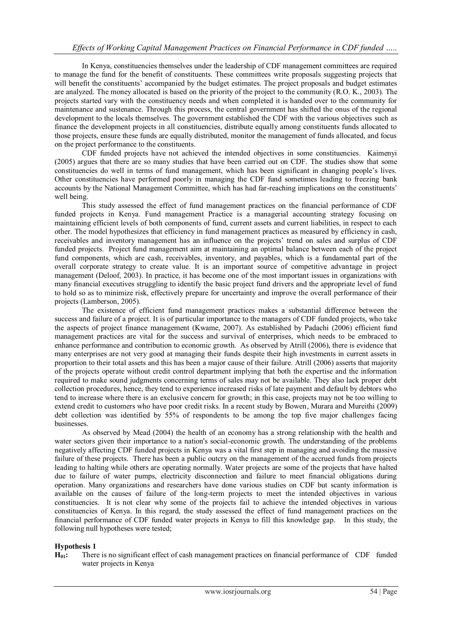In Kenya, constituencies themselves under the leadership of CDF management committees are required to manage the fund for the benefit of constituents. These committees write proposals suggesting projects that will benefit the constituents' accompanied by the budget estimates. The project proposals and budget estimates are analyzed. The money allocated is based on the priority of the project to the community (R.O. K., 2003). The projects started vary with the constituency needs and when completed it is handed over to the community for maintenance and sustenance. Through this process, the central government has shifted the onus of the regional development to the locals themselves. The government established the CDF with the various objectives such as finance the development projects in all constituencies, distribute equally among constituents funds allocated to those projects, ensure these funds are equally distributed, monitor the management of funds allocated, and focus on the project performance to the constituents.

CDF funded projects have not achieved the intended objectives in some constituencies. Kaimenyi (2005) argues that there are so many studies that have been carried out on CDF. The studies show that some constituencies do well in terms of fund management, which has been significant in changing people's lives. Other constituencies have performed poorly in managing the CDF fund sometimes leading to freezing bank accounts by the National Management Committee, which has had far-reaching implications on the constituents' well being.

This study assessed the effect of fund management practices on the financial performance of CDF funded projects in Kenya. Fund management Practice is a managerial accounting strategy focusing on maintaining efficient levels of both components of fund, current assets and current liabilities, in respect to each other. The model hypothesizes that efficiency in fund management practices as measured by efficiency in cash, receivables and inventory management has an influence on the projects' trend on sales and surplus of CDF funded projects. Project fund management aim at maintaining an optimal balance between each of the project fund components, which are cash, receivables, inventory, and payables, which is a fundamental part of the overall corporate strategy to create value. It is an important source of competitive advantage in project management (Deloof, 2003). In practice, it has become one of the most important issues in organizations with many financial executives struggling to identify the basic project fund drivers and the appropriate level of fund to hold so as to minimize risk, effectively prepare for uncertainty and improve the overall performance of their projects (Lamberson, 2005).

The existence of efficient fund management practices makes a substantial difference between the success and failure of a project. It is of particular importance to the managers of CDF funded projects, who take the aspects of project finance management (Kwame, 2007). As established by Padachi (2006) efficient fund management practices are vital for the success and survival of enterprises, which needs to be embraced to enhance performance and contribution to economic growth. As observed by Atrill (2006), there is evidence that many enterprises are not very good at managing their funds despite their high investments in current assets in proportion to their total assets and this has been a major cause of their failure. Atrill (2006) asserts that majority of the projects operate without credit control department implying that both the expertise and the information required to make sound judgments concerning terms of sales may not be available. They also lack proper debt collection procedures, hence, they tend to experience increased risks of late payment and default by debtors who tend to increase where there is an exclusive concern for growth; in this case, projects may not be too willing to extend credit to customers who have poor credit risks. In a recent study by Bowen, Murara and Mureithi (2009) debt collection was identified by 55% of respondents to be among the top five major challenges facing businesses.

As observed by Mead (2004) the health of an economy has a strong relationship with the health and water sectors given their importance to a nation's social-economic growth. The understanding of the problems negatively affecting CDF funded projects in Kenya was a vital first step in managing and avoiding the massive failure of these projects. There has been a public outcry on the management of the accrued funds from projects leading to halting while others are operating normally. Water projects are some of the projects that have halted due to failure of water pumps, electricity disconnection and failure to meet financial obligations during operation. Many organizations and researchers have done various studies on CDF but scanty information is available on the causes of failure of the long-term projects to meet the intended objectives in various constituencies. It is not clear why some of the projects fail to achieve the intended objectives in various constituencies of Kenya. In this regard, the study assessed the effect of fund management practices on the financial performance of CDF funded water projects in Kenya to fill this knowledge gap. In this study, the following null hypotheses were tested;

## **Hypothesis 1**

**H01:** There is no significant effect of cash management practices on financial performance of CDF funded water projects in Kenya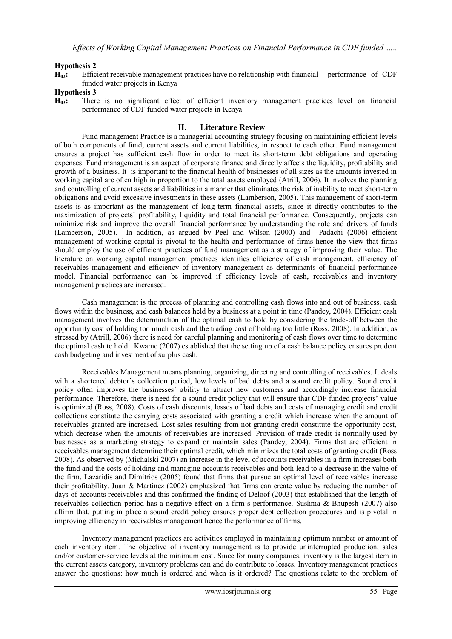## **Hypothesis 2**

**H02:** Efficient receivable management practices have no relationship with financial performance of CDF funded water projects in Kenya

## **Hypothesis 3**

**H03:** There is no significant effect of efficient inventory management practices level on financial performance of CDF funded water projects in Kenya

## **II. Literature Review**

Fund management Practice is a managerial accounting strategy focusing on maintaining efficient levels of both components of fund, current assets and current liabilities, in respect to each other. Fund management ensures a project has sufficient cash flow in order to meet its short-term debt obligations and operating expenses. Fund management is an aspect of corporate finance and directly affects the liquidity, profitability and growth of a business. It is important to the financial health of businesses of all sizes as the amounts invested in working capital are often high in proportion to the total assets employed (Atrill, 2006). It involves the planning and controlling of current assets and liabilities in a manner that eliminates the risk of inability to meet short-term obligations and avoid excessive investments in these assets (Lamberson, 2005). This management of short-term assets is as important as the management of long-term financial assets, since it directly contributes to the maximization of projects' profitability, liquidity and total financial performance. Consequently, projects can minimize risk and improve the overall financial performance by understanding the role and drivers of funds (Lamberson, 2005). In addition, as argued by Peel and Wilson (2000) and Padachi (2006) efficient management of working capital is pivotal to the health and performance of firms hence the view that firms should employ the use of efficient practices of fund management as a strategy of improving their value. The literature on working capital management practices identifies efficiency of cash management, efficiency of receivables management and efficiency of inventory management as determinants of financial performance model. Financial performance can be improved if efficiency levels of cash, receivables and inventory management practices are increased.

Cash management is the process of planning and controlling cash flows into and out of business, cash flows within the business, and cash balances held by a business at a point in time (Pandey, 2004). Efficient cash management involves the determination of the optimal cash to hold by considering the trade-off between the opportunity cost of holding too much cash and the trading cost of holding too little (Ross, 2008). In addition, as stressed by (Atrill, 2006) there is need for careful planning and monitoring of cash flows over time to determine the optimal cash to hold. Kwame (2007) established that the setting up of a cash balance policy ensures prudent cash budgeting and investment of surplus cash.

Receivables Management means planning, organizing, directing and controlling of receivables. It deals with a shortened debtor's collection period, low levels of bad debts and a sound credit policy. Sound credit policy often improves the businesses' ability to attract new customers and accordingly increase financial performance. Therefore, there is need for a sound credit policy that will ensure that CDF funded projects' value is optimized (Ross, 2008). Costs of cash discounts, losses of bad debts and costs of managing credit and credit collections constitute the carrying costs associated with granting a credit which increase when the amount of receivables granted are increased. Lost sales resulting from not granting credit constitute the opportunity cost, which decrease when the amounts of receivables are increased. Provision of trade credit is normally used by businesses as a marketing strategy to expand or maintain sales (Pandey, 2004). Firms that are efficient in receivables management determine their optimal credit, which minimizes the total costs of granting credit (Ross 2008). As observed by (Michalski 2007) an increase in the level of accounts receivables in a firm increases both the fund and the costs of holding and managing accounts receivables and both lead to a decrease in the value of the firm. Lazaridis and Dimitrios (2005) found that firms that pursue an optimal level of receivables increase their profitability. Juan & Martinez (2002) emphasized that firms can create value by reducing the number of days of accounts receivables and this confirmed the finding of Deloof (2003) that established that the length of receivables collection period has a negative effect on a firm's performance. Sushma & Bhupesh (2007) also affirm that, putting in place a sound credit policy ensures proper debt collection procedures and is pivotal in improving efficiency in receivables management hence the performance of firms.

Inventory management practices are activities employed in maintaining optimum number or amount of each inventory item. The objective of inventory management is to provide uninterrupted production, sales and/or customer-service levels at the minimum cost. Since for many companies, inventory is the largest item in the current assets category, inventory problems can and do contribute to losses. Inventory management practices answer the questions: how much is ordered and when is it ordered? The questions relate to the problem of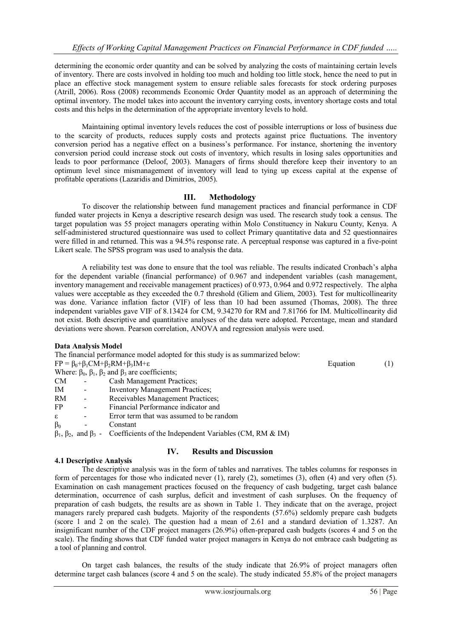determining the economic order quantity and can be solved by analyzing the costs of maintaining certain levels of inventory. There are costs involved in holding too much and holding too little stock, hence the need to put in place an effective stock management system to ensure reliable sales forecasts for stock ordering purposes (Atrill, 2006). Ross (2008) recommends Economic Order Quantity model as an approach of determining the optimal inventory. The model takes into account the inventory carrying costs, inventory shortage costs and total costs and this helps in the determination of the appropriate inventory levels to hold.

Maintaining optimal inventory levels reduces the cost of possible interruptions or loss of business due to the scarcity of products, reduces supply costs and protects against price fluctuations. The inventory conversion period has a negative effect on a business's performance. For instance, shortening the inventory conversion period could increase stock out costs of inventory, which results in losing sales opportunities and leads to poor performance (Deloof, 2003). Managers of firms should therefore keep their inventory to an optimum level since mismanagement of inventory will lead to tying up excess capital at the expense of profitable operations (Lazaridis and Dimitrios, 2005).

## **III. Methodology**

To discover the relationship between fund management practices and financial performance in CDF funded water projects in Kenya a descriptive research design was used. The research study took a census. The target population was 55 project managers operating within Molo Constituency in Nakuru County, Kenya. A self-administered structured questionnaire was used to collect Primary quantitative data and 52 questionnaires were filled in and returned. This was a 94.5% response rate. A perceptual response was captured in a five-point Likert scale. The SPSS program was used to analysis the data.

A reliability test was done to ensure that the tool was reliable. The results indicated Cronbach's alpha for the dependent variable (financial performance) of 0.967 and independent variables (cash management, inventory management and receivable management practices) of 0.973, 0.964 and 0.972 respectively. The alpha values were acceptable as they exceeded the 0.7 threshold (Gliem and Gliem, 2003). Test for multicollinearity was done. Variance inflation factor (VIF) of less than 10 had been assumed (Thomas, 2008). The three independent variables gave VIF of 8.13424 for CM, 9.34270 for RM and 7.81766 for IM. Multicollinearity did not exist. Both descriptive and quantitative analyses of the data were adopted. Percentage, mean and standard deviations were shown. Pearson correlation, ANOVA and regression analysis were used.

#### **Data Analysis Model**

The financial performance model adopted for this study is as summarized below:  $FP = \beta_0 + \beta_1 CM + \beta_2 RM + \beta_3 IM + \epsilon$  Equation (1) Where:  $\beta_0$ ,  $\beta_1$ ,  $\beta_2$  and  $\beta_3$  are coefficients; CM - Cash Management Practices; IM - Inventory Management Practices; RM - Receivables Management Practices;<br>FP - Financial Performance indicator and Financial Performance indicator and

- ε Error term that was assumed to be random
- $\beta_0$  Constant

 $β<sub>1</sub>, β<sub>2</sub>, and β<sub>3</sub>$  - Coefficients of the Independent Variables (CM, RM & IM)

#### **4.1 Descriptive Analysis**

# **IV. Results and Discussion**

The descriptive analysis was in the form of tables and narratives. The tables columns for responses in form of percentages for those who indicated never (1), rarely (2), sometimes (3), often (4) and very often (5). Examination on cash management practices focused on the frequency of cash budgeting, target cash balance determination, occurrence of cash surplus, deficit and investment of cash surpluses. On the frequency of preparation of cash budgets, the results are as shown in Table 1. They indicate that on the average, project managers rarely prepared cash budgets. Majority of the respondents (57.6%) seldomly prepare cash budgets (score 1 and 2 on the scale). The question had a mean of 2.61 and a standard deviation of 1.3287. An insignificant number of the CDF project managers (26.9%) often-prepared cash budgets (scores 4 and 5 on the scale). The finding shows that CDF funded water project managers in Kenya do not embrace cash budgeting as a tool of planning and control.

On target cash balances, the results of the study indicate that 26.9% of project managers often determine target cash balances (score 4 and 5 on the scale). The study indicated 55.8% of the project managers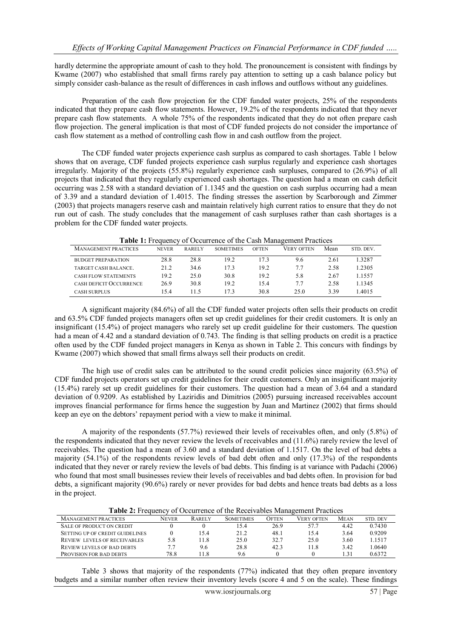hardly determine the appropriate amount of cash to they hold. The pronouncement is consistent with findings by Kwame (2007) who established that small firms rarely pay attention to setting up a cash balance policy but simply consider cash-balance as the result of differences in cash inflows and outflows without any guidelines.

Preparation of the cash flow projection for the CDF funded water projects, 25% of the respondents indicated that they prepare cash flow statements. However, 19.2% of the respondents indicated that they never prepare cash flow statements. A whole 75% of the respondents indicated that they do not often prepare cash flow projection. The general implication is that most of CDF funded projects do not consider the importance of cash flow statement as a method of controlling cash flow in and cash outflow from the project.

The CDF funded water projects experience cash surplus as compared to cash shortages. Table 1 below shows that on average, CDF funded projects experience cash surplus regularly and experience cash shortages irregularly. Majority of the projects (55.8%) regularly experience cash surpluses, compared to (26.9%) of all projects that indicated that they regularly experienced cash shortages. The question had a mean on cash deficit occurring was 2.58 with a standard deviation of 1.1345 and the question on cash surplus occurring had a mean of 3.39 and a standard deviation of 1.4015. The finding stresses the assertion by Scarborough and Zimmer (2003) that projects managers reserve cash and maintain relatively high current ratios to ensure that they do not run out of cash. The study concludes that the management of cash surpluses rather than cash shortages is a problem for the CDF funded water projects.

| <b>MANAGEMENT PRACTICES</b> | <b>NEVER</b> | <b>RARELY</b> | <b>SOMETIMES</b> | <b>OFTEN</b> | VERY OFTEN | Mean | STD. DEV. |
|-----------------------------|--------------|---------------|------------------|--------------|------------|------|-----------|
| <b>BUDGET PREPARATION</b>   | 28.8         | 28.8          | 19.2             | 17.3         | 9.6        | 2.61 | 3287      |
| TARGET CASH BALANCE.        | 21.2         | 34.6          | 173              | 19.2         | 7.7        | 2.58 | .2305     |
| <b>CASH FLOW STATEMENTS</b> | 19.2         | 25.0          | 30.8             | 19.2         | 5.8        | 2.67 | 1557      |
| CASH DEFICIT OCCURRENCE     | 26.9         | 30.8          | 19.2             | 15.4         | 7.7        | 2.58 | 1345      |
| <b>CASH SURPLUS</b>         | 154          | 115           | 173              | 30.8         | 25.0       | 3.39 | 4015      |

**Table 1:** Frequency of Occurrence of the Cash Management Practices

A significant majority (84.6%) of all the CDF funded water projects often sells their products on credit and 63.5% CDF funded projects managers often set up credit guidelines for their credit customers. It is only an insignificant (15.4%) of project managers who rarely set up credit guideline for their customers. The question had a mean of 4.42 and a standard deviation of 0.743. The finding is that selling products on credit is a practice often used by the CDF funded project managers in Kenya as shown in Table 2. This concurs with findings by Kwame (2007) which showed that small firms always sell their products on credit.

The high use of credit sales can be attributed to the sound credit policies since majority (63.5%) of CDF funded projects operators set up credit guidelines for their credit customers. Only an insignificant majority (15.4%) rarely set up credit guidelines for their customers. The question had a mean of 3.64 and a standard deviation of 0.9209. As established by Laziridis and Dimitrios (2005) pursuing increased receivables account improves financial performance for firms hence the suggestion by Juan and Martinez (2002) that firms should keep an eye on the debtors' repayment period with a view to make it minimal.

A majority of the respondents (57.7%) reviewed their levels of receivables often, and only (5.8%) of the respondents indicated that they never review the levels of receivables and (11.6%) rarely review the level of receivables. The question had a mean of 3.60 and a standard deviation of 1.1517. On the level of bad debts a majority (54.1%) of the respondents review levels of bad debt often and only (17.3%) of the respondents indicated that they never or rarely review the levels of bad debts. This finding is at variance with Padachi (2006) who found that most small businesses review their levels of receivables and bad debts often. In provision for bad debts, a significant majority (90.6%) rarely or never provides for bad debts and hence treats bad debts as a loss in the project.

|  |  |  | Table 2: Frequency of Occurrence of the Receivables Management Practices |
|--|--|--|--------------------------------------------------------------------------|
|--|--|--|--------------------------------------------------------------------------|

| <b>MANAGEMENT PRACTICES</b>         | <b>NEVER</b> | <b>RARELY</b> | <b>SOMETIMES</b> | OFTEN | <b>VERY OFTEN</b> | <b>MEAN</b>    | STD. DEV |
|-------------------------------------|--------------|---------------|------------------|-------|-------------------|----------------|----------|
| <b>SALE OF PRODUCT ON CREDIT</b>    |              |               | 15.4             | 26.9  | 57.7              | 4.42           | 0.7430   |
| SETTING UP OF CREDIT GUIDELINES     |              | 15.4          | 21.2             | 48.1  | 15.4              | 3.64           | 0.9209   |
| <b>REVIEW LEVELS OF RECEIVABLES</b> | 5.8          | 11.8          | 25.0             | 32.7  | 25.0              | 3.60           | 1 1517   |
| <b>REVIEW LEVELS OF BAD DEBTS</b>   | 7.7          | 9.6           | 28.8             | 42.3  | 11.8              | 3.42           | L0640.   |
| <b>PROVISION FOR BAD DEBTS</b>      | 78.8         | 1.8           | 9.6              |       |                   | $\frac{31}{2}$ | 0.6372   |

Table 3 shows that majority of the respondents (77%) indicated that they often prepare inventory budgets and a similar number often review their inventory levels (score 4 and 5 on the scale). These findings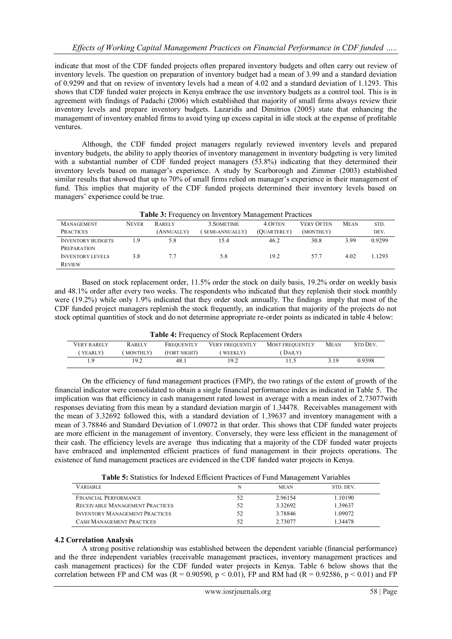indicate that most of the CDF funded projects often prepared inventory budgets and often carry out review of inventory levels. The question on preparation of inventory budget had a mean of 3.99 and a standard deviation of 0.9299 and that on review of inventory levels had a mean of 4.02 and a standard deviation of 1.1293. This shows that CDF funded water projects in Kenya embrace the use inventory budgets as a control tool. This is in agreement with findings of Padachi (2006) which established that majority of small firms always review their inventory levels and prepare inventory budgets. Lazaridis and Dimitrios (2005) state that enhancing the management of inventory enabled firms to avoid tying up excess capital in idle stock at the expense of profitable ventures.

Although, the CDF funded project managers regularly reviewed inventory levels and prepared inventory budgets, the ability to apply theories of inventory management in inventory budgeting is very limited with a substantial number of CDF funded project managers (53.8%) indicating that they determined their inventory levels based on manager's experience. A study by Scarborough and Zimmer (2003) established similar results that showed that up to 70% of small firms relied on manager's experience in their management of fund. This implies that majority of the CDF funded projects determined their inventory levels based on managers' experience could be true.

| <b>Table 3:</b> Frequency on Inventory Management Practices |              |               |                |             |                   |             |           |
|-------------------------------------------------------------|--------------|---------------|----------------|-------------|-------------------|-------------|-----------|
| <b>MANAGEMENT</b>                                           | <b>NEVER</b> | <b>RARELY</b> | 3. SOMETIME    | 4. OFTEN    | <b>VERY OFTEN</b> | <b>MEAN</b> | STD.      |
| <b>PRACTICES</b>                                            |              | (ANNUALLY)    | SEMI-ANNUALLY) | (OUARTERLY) | (MONTHLY)         |             | DEV.      |
| <b>INVENTORY BUDGETS</b>                                    | 19           | 5.8           | 15.4           | 46.2        | 30.8              | 3.99        | 0.9299    |
| <b>PREPARATION</b>                                          |              |               |                |             |                   |             |           |
| <b>INVENTORY LEVELS</b>                                     | 3.8          | 77            | 5.8            | 19.2        | 577               | 4.02        | 1 1 2 9 3 |
| <b>REVIEW</b>                                               |              |               |                |             |                   |             |           |

Based on stock replacement order, 11.5% order the stock on daily basis, 19.2% order on weekly basis and 48.1% order after every two weeks. The respondents who indicated that they replenish their stock monthly were (19.2%) while only 1.9% indicated that they order stock annually. The findings imply that most of the CDF funded project managers replenish the stock frequently, an indication that majority of the projects do not stock optimal quantities of stock and do not determine appropriate re-order points as indicated in table 4 below:

|  |  | Table 4: Frequency of Stock Replacement Orders |  |
|--|--|------------------------------------------------|--|
|--|--|------------------------------------------------|--|

| <b>VERY RARELY</b> | <b>RARELY</b> | FREOUENTLY   | <b>VERY FREOUENTLY</b> | <b>MOST FREQUENTLY</b> | <b>MEAN</b> | <b>STD DEV.</b> |
|--------------------|---------------|--------------|------------------------|------------------------|-------------|-----------------|
| (YEARLY)           | (MONTHLY)     | (FORT NIGHT) | WEEKLY)                | (DAILY)                |             |                 |
|                    | 19.2          | 48.1         | 19.2                   |                        | 3.19        | 0.9398          |

On the efficiency of fund management practices (FMP), the two ratings of the extent of growth of the financial indicator were consolidated to obtain a single financial performance index as indicated in Table 5. The implication was that efficiency in cash management rated lowest in average with a mean index of 2.73077with responses deviating from this mean by a standard deviation margin of 1.34478. Receivables management with the mean of 3.32692 followed this, with a standard deviation of 1.39637 and inventory management with a mean of 3.78846 and Standard Deviation of 1.09072 in that order. This shows that CDF funded water projects are more efficient in the management of inventory. Conversely, they were less efficient in the management of their cash. The efficiency levels are average thus indicating that a majority of the CDF funded water projects have embraced and implemented efficient practices of fund management in their projects operations. The existence of fund management practices are evidenced in the CDF funded water projects in Kenya.

**Table 5:** Statistics for Indexed Efficient Practices of Fund Management Variables

| VARIABLE                              | N  | <b>MEAN</b> | STD. DEV. |
|---------------------------------------|----|-------------|-----------|
| <b>FINANCIAL PERFORMANCE</b>          |    | 2.96154     | 1.10190   |
| RECEIVABLE MANAGEMENT PRACTICES       | 52 | 3.32692     | 1.39637   |
| <b>INVENTORY MANAGEMENT PRACTICES</b> | 52 | 3.78846     | 1.09072   |
| <b>CASH MANAGEMENT PRACTICES</b>      | 52 | 2.73077     | 1.34478   |

#### **4.2 Correlation Analysis**

A strong positive relationship was established between the dependent variable (financial performance) and the three independent variables (receivable management practices, inventory management practices and cash management practices) for the CDF funded water projects in Kenya. Table 6 below shows that the correlation between FP and CM was  $(R = 0.90590, p < 0.01)$ , FP and RM had  $(R = 0.92586, p < 0.01)$  and FP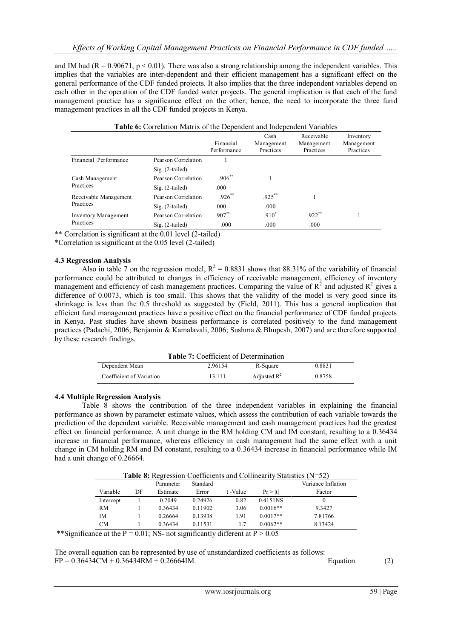and IM had ( $R = 0.90671$ ,  $p \le 0.01$ ). There was also a strong relationship among the independent variables. This implies that the variables are inter-dependent and their efficient management has a significant effect on the general performance of the CDF funded projects. It also implies that the three independent variables depend on each other in the operation of the CDF funded water projects. The general implication is that each of the fund management practice has a significance effect on the other; hence, the need to incorporate the three fund management practices in all the CDF funded projects in Kenya.

| Table 6: Correlation Matrix of the Dependent and Independent Variables |                     |                          |                                 |                                       |                                      |  |
|------------------------------------------------------------------------|---------------------|--------------------------|---------------------------------|---------------------------------------|--------------------------------------|--|
|                                                                        |                     | Financial<br>Performance | Cash<br>Management<br>Practices | Receivable<br>Management<br>Practices | Inventory<br>Management<br>Practices |  |
| Financial Performance                                                  | Pearson Correlation |                          |                                 |                                       |                                      |  |
|                                                                        | $Sig. (2-tailed)$   |                          |                                 |                                       |                                      |  |
| Cash Management                                                        | Pearson Correlation | $.906^{**}$              |                                 |                                       |                                      |  |
| Practices                                                              | $Sig. (2-tailed)$   | .000                     |                                 |                                       |                                      |  |
| Receivable Management                                                  | Pearson Correlation | $.926***$                | $.925***$                       |                                       |                                      |  |
| Practices                                                              | $Sig. (2-tailed)$   | .000                     | .000                            |                                       |                                      |  |
| <b>Inventory Management</b>                                            | Pearson Correlation | $.907**$                 | $.910*$                         | $.922$ **                             |                                      |  |
| Practices                                                              | $Sig. (2-tailed)$   | .000                     | .000                            | .000                                  |                                      |  |

\*\* Correlation is significant at the 0.01 level (2-tailed)

\*Correlation is significant at the 0.05 level (2-tailed)

#### **4.3 Regression Analysis**

Also in table 7 on the regression model,  $R^2 = 0.8831$  shows that 88.31% of the variability of financial performance could be attributed to changes in efficiency of receivable management, efficiency of inventory management and efficiency of cash management practices. Comparing the value of  $R^2$  and adjusted  $R^2$  gives a difference of 0.0073, which is too small. This shows that the validity of the model is very good since its shrinkage is less than the 0.5 threshold as suggested by (Field, 2011). This has a general implication that efficient fund management practices have a positive effect on the financial performance of CDF funded projects in Kenya. Past studies have shown business performance is correlated positively to the fund management practices (Padachi, 2006; Benjamin & Kamalavali, 2006; Sushma & Bhupesh, 2007) and are therefore supported by these research findings.

| <b>Table 7:</b> Coefficient of Determination |         |                |        |  |  |
|----------------------------------------------|---------|----------------|--------|--|--|
| Dependent Mean                               | 2.96154 | R-Square       | 0.8831 |  |  |
| Coefficient of Variation                     | 13.111  | Adjusted $R^2$ | 0.8758 |  |  |

#### **4.4 Multiple Regression Analysis**

Table 8 shows the contribution of the three independent variables in explaining the financial performance as shown by parameter estimate values, which assess the contribution of each variable towards the prediction of the dependent variable. Receivable management and cash management practices had the greatest effect on financial performance. A unit change in the RM holding CM and IM constant, resulting to a 0.36434 increase in financial performance, whereas efficiency in cash management had the same effect with a unit change in CM holding RM and IM constant, resulting to a 0.36434 increase in financial performance while IM had a unit change of 0.26664.

**Table 8:** Regression Coefficients and Collinearity Statistics (N=52)

|           |    | Parameter | Standard |         |            | Variance Inflation |
|-----------|----|-----------|----------|---------|------------|--------------------|
| Variable  | DF | Estimate  | Error    | t-Value | Pr >  t    | Factor             |
| Intercept |    | 0.2049    | 0.24926  | 0.82    | 0.4151NS   | 0                  |
| RM        |    | 0.36434   | 0.11902  | 3.06    | $0.0016**$ | 9.3427             |
| IΜ        |    | 0.26664   | 0.13938  | 1.91    | $0.0017**$ | 7.81766            |
| CМ        |    | 0.36434   | 0.11531  |         | $0.0062**$ | 8.13424            |

\*\*Significance at the P = 0.01; NS- not significantly different at  $P > 0.05$ 

The overall equation can be represented by use of unstandardized coefficients as follows:  $FP = 0.36434CM + 0.36434RM + 0.26664IM.$  Equation (2)